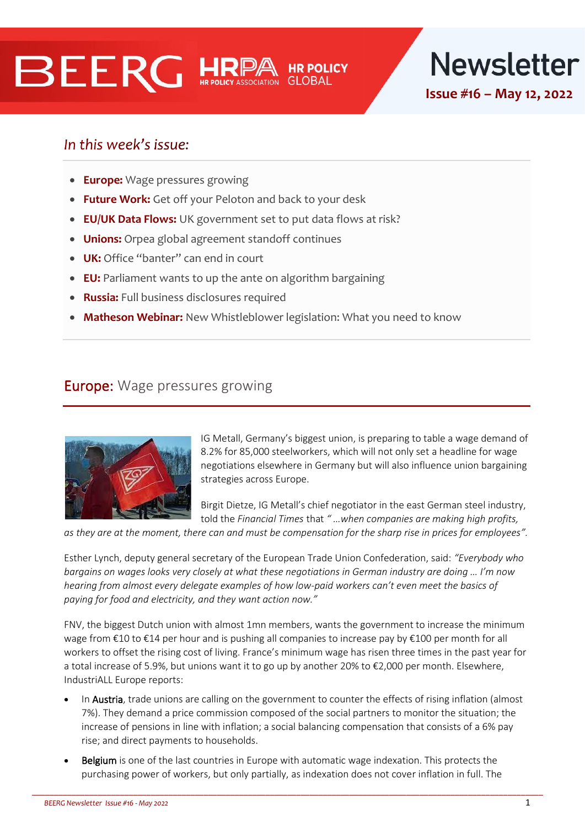# **BEERG HRE**



# In this week's issue:

- **Europe:** Wage pressures growing
- **Future Work:** Get off your Peloton and back to your desk
- **EU/UK Data Flows:** UK government set to put data flows at risk?
- **Unions:** Orpea global agreement standoff continues
- **UK:** Office "banter" can end in court
- **EU:** Parliament wants to up the ante on algorithm bargaining
- **Russia:** Full business disclosures required
- **Matheson Webinar:** New Whistleblower legislation: What you need to know

## **Europe:** Wage pressures growing



IG Metall, Germany's biggest union, is preparing to table a wage demand of 8.2% for 85,000 steelworkers, which will not only set a headline for wage negotiations elsewhere in Germany but will also influence union bargaining strategies across Europe.

Birgit Dietze, IG Metall's chief negotiator in the east German steel industry, told the *Financial Times* that *" …when companies are making high profits,* 

*as they are at the moment, there can and must be compensation for the sharp rise in prices for employees".*

Esther Lynch, deputy general secretary of the European Trade Union Confederation, said: *"Everybody who bargains on wages looks very closely at what these negotiations in German industry are doing … I'm now hearing from almost every delegate examples of how low-paid workers can't even meet the basics of paying for food and electricity, and they want action now."*

FNV, the biggest Dutch union with almost 1mn members, wants the government to increase the minimum wage from €10 to €14 per hour and is pushing all companies to increase pay by €100 per month for all workers to offset the rising cost of living. France's minimum wage has risen three times in the past year for a total increase of 5.9%, but unions want it to go up by another 20% to €2,000 per month. Elsewhere, IndustriALL Europe reports:

- In Austria, trade unions are calling on the government to counter the effects of rising inflation (almost 7%). They demand a price commission composed of the social partners to monitor the situation; the increase of pensions in line with inflation; a social balancing compensation that consists of a 6% pay rise; and direct payments to households.
- Belgium is one of the last countries in Europe with automatic wage indexation. This protects the purchasing power of workers, but only partially, as indexation does not cover inflation in full. The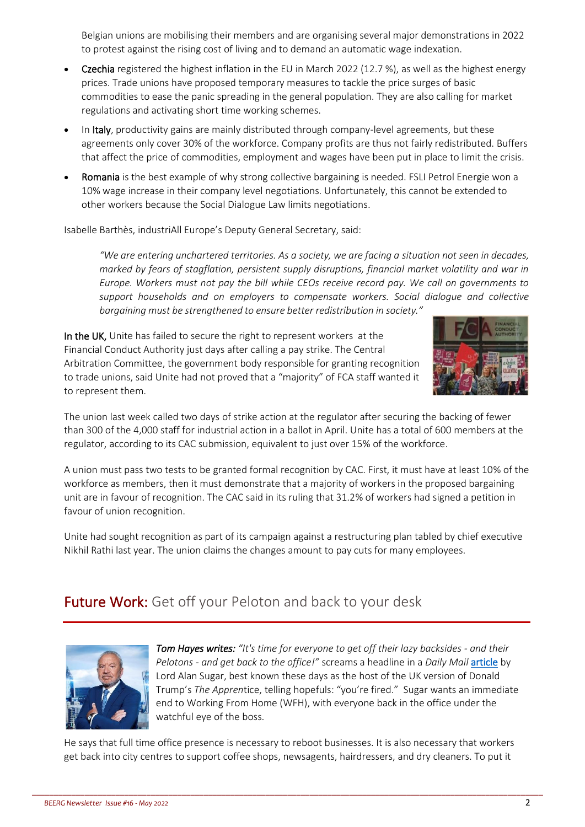Belgian unions are mobilising their members and are organising several major demonstrations in 2022 to protest against the rising cost of living and to demand an automatic wage indexation.

- Czechia registered the highest inflation in the EU in March 2022 (12.7 %), as well as the highest energy prices. Trade unions have proposed temporary measures to tackle the price surges of basic commodities to ease the panic spreading in the general population. They are also calling for market regulations and activating short time working schemes.
- In Italy, productivity gains are mainly distributed through company-level agreements, but these agreements only cover 30% of the workforce. Company profits are thus not fairly redistributed. Buffers that affect the price of commodities, employment and wages have been put in place to limit the crisis.
- Romania is the best example of why strong collective bargaining is needed. FSLI Petrol Energie won a 10% wage increase in their company level negotiations. Unfortunately, this cannot be extended to other workers because the Social Dialogue Law limits negotiations.

Isabelle Barthès, industriAll Europe's Deputy General Secretary, said:

*"We are entering unchartered territories. As a society, we are facing a situation not seen in decades, marked by fears of stagflation, persistent supply disruptions, financial market volatility and war in Europe. Workers must not pay the bill while CEOs receive record pay. We call on governments to support households and on employers to compensate workers. Social dialogue and collective bargaining must be strengthened to ensure better redistribution in society."*

In the UK, Unite has failed to secure the right to represent workers at the Financial Conduct Authority just days after calling a pay strike. The Central Arbitration Committee, the government body responsible for granting recognition to trade unions, said Unite had not proved that a "majority" of FCA staff wanted it to represent them.



The union last week called two days of strike action at the regulator after securing the backing of fewer than 300 of the 4,000 staff for industrial action in a ballot in April. Unite has a total of 600 members at the regulator, according to its CAC submission, equivalent to just over 15% of the workforce.

A union must pass two tests to be granted formal recognition by CAC. First, it must have at least 10% of the workforce as members, then it must demonstrate that a majority of workers in the proposed bargaining unit are in favour of recognition. The CAC said in its ruling that 31.2% of workers had signed a petition in favour of union recognition.

Unite had sought recognition as part of its campaign against a restructuring plan tabled by chief executive Nikhil Rathi last year. The union claims the changes amount to pay cuts for many employees.

# Future Work: Get off your Peloton and back to your desk



**Tom Hayes writes:** "It's time for everyone to get off their lazy backsides - and their *Pelotons - and get back to the office!"* screams a headline in a *Daily Mail [article](https://www.dailymail.co.uk/debate/article-10799043/LORD-SUGAR-time-lazy-backsides-office.html) by* Lord Alan Sugar, best known these days as the host of the UK version of Donald Trump's *The Appren*tice, telling hopefuls: "you're fired." Sugar wants an immediate end to Working From Home (WFH), with everyone back in the office under the watchful eve of the boss.

He says that full time office presence is necessary to reboot businesses. It is also necessary that workers get back into city centres to support coffee shops, newsagents, hairdressers, and dry cleaners. To put it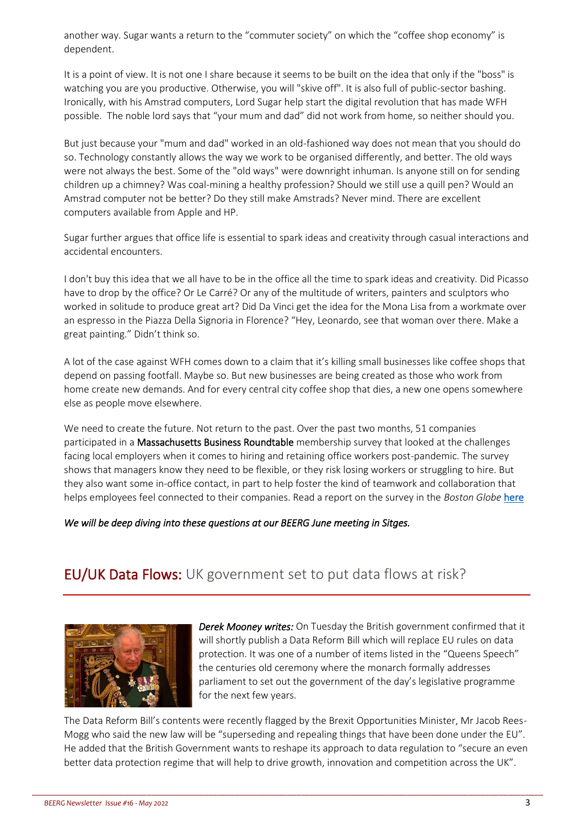another way. Sugar wants a return to the "commuter society" on which the "coffee shop economy" is dependent.

It is a point of view. It is not one I share because it seems to be built on the idea that only if the "boss" is watching you are you productive. Otherwise, you will "skive off". It is also full of public-sector bashing. Ironically, with his Amstrad computers, Lord Sugar help start the digital revolution that has made WFH possible. The noble lord says that "your mum and dad" did not work from home, so neither should you.

But just because your "mum and dad" worked in an old-fashioned way does not mean that you should do so. Technology constantly allows the way we work to be organised differently, and better. The old ways were not always the best. Some of the "old ways" were downright inhuman. Is anyone still on for sending children up a chimney? Was coal-mining a healthy profession? Should we still use a quill pen? Would an Amstrad computer not be better? Do they still make Amstrads? Never mind. There are excellent computers available from Apple and HP.

Sugar further argues that office life is essential to spark ideas and creativity through casual interactions and accidental encounters.

I don't buy this idea that we all have to be in the office all the time to spark ideas and creativity. Did Picasso have to drop by the office? Or Le Carré? Or any of the multitude of writers, painters and sculptors who worked in solitude to produce great art? Did Da Vinci get the idea for the Mona Lisa from a workmate over an espresso in the Piazza Della Signoria in Florence? "Hey, Leonardo, see that woman over there. Make a great painting." Didn't think so.

A lot of the case against WFH comes down to a claim that it's killing small businesses like coffee shops that depend on passing footfall. Maybe so. But new businesses are being created as those who work from home create new demands. And for every central city coffee shop that dies, a new one opens somewhere else as people move elsewhere.

We need to create the future. Not return to the past. Over the past two months, 51 companies participated in a Massachusetts Business Roundtable membership survey that looked at the challenges facing local employers when it comes to hiring and retaining office workers post-pandemic. The survey shows that managers know they need to be flexible, or they risk losing workers or struggling to hire. But they also want some in-office contact, in part to help foster the kind of teamwork and collaboration that helps employees feel connected to their companies. Read a report on the survey in the *Boston Globe* [here](https://www.bostonglobe.com/2022/05/10/business/survey-says-future-work-is-hybrid/)

*We will be deep diving into these questions at our BEERG June meeting in Sitges.* 

# **EU/UK Data Flows:** UK government set to put data flows at risk?



*Derek Mooney writes:* On Tuesday the British government confirmed that it will shortly publish a Data Reform Bill which will replace EU rules on data protection. It was one of a number of items listed in the "Queens Speech" the centuries old ceremony where the monarch formally addresses parliament to set out the government of the day's legislative programme for the next few years.

The Data Reform Bill's contents were recently flagged by the Brexit Opportunities Minister, Mr Jacob Rees-Mogg who said the new law will be "superseding and repealing things that have been done under the EU". He added that the British Government wants to reshape its approach to data regulation to "secure an even better data protection regime that will help to drive growth, innovation and competition across the UK".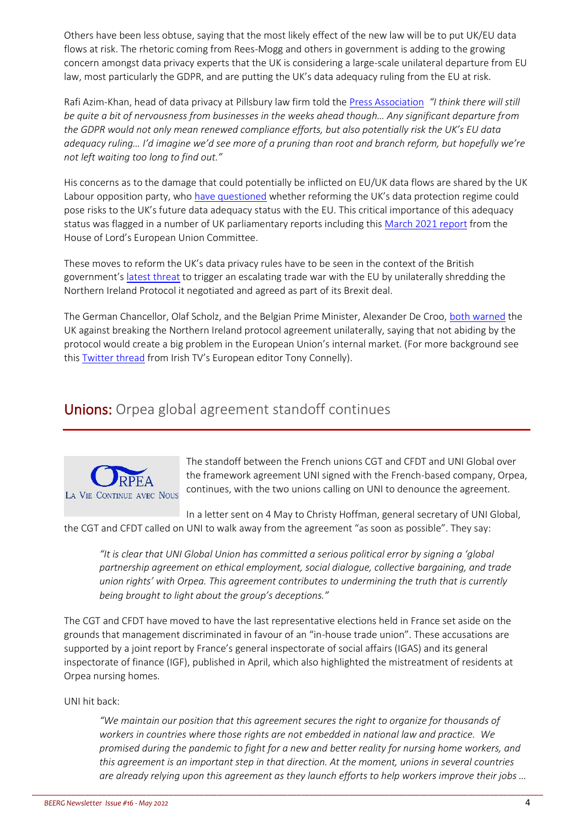Others have been less obtuse, saying that the most likely effect of the new law will be to put UK/EU data flows at risk. The rhetoric coming from Rees-Mogg and others in government is adding to the growing concern amongst data privacy experts that the UK is considering a large-scale unilateral departure from EU law, most particularly the GDPR, and are putting the UK's data adequacy ruling from the EU at risk.

Rafi Azim-Khan, head of data privacy at Pillsbury law firm told th[e Press Association](https://www.belfasttelegraph.co.uk/news/uk/data-reform-bill-plans-to-cut-eu-data-law-red-tape-41634558.html) *"I think there will still be quite a bit of nervousness from businesses in the weeks ahead though… Any significant departure from the GDPR would not only mean renewed compliance efforts, but also potentially risk the UK's EU data adequacy ruling… I'd imagine we'd see more of a pruning than root and branch reform, but hopefully we're not left waiting too long to find out."*

His concerns as to the damage that could potentially be inflicted on EU/UK data flows are shared by the UK Labour opposition party, who [have questioned](https://questions-statements.parliament.uk/written-questions/detail/2022-03-28/148107) whether reforming the UK's data protection regime could pose risks to the UK's future data adequacy status with the EU. This critical importance of this adequacy status was flagged in a number of UK parliamentary reports including this [March 2021 report](https://committees.parliament.uk/publications/5223/documents/52438/default/#page=41) from the House of Lord's European Union Committee.

These moves to reform the UK's data privacy rules have to be seen in the context of the British government's [latest threat](https://www.thetimes.co.uk/article/stop-posturing-eu-tells-britain-after-threat-to-northern-ireland-protocol-mr58n23kt) to trigger an escalating trade war with the EU by unilaterally shredding the Northern Ireland Protocol it negotiated and agreed as part of its Brexit deal.

The German Chancellor, Olaf Scholz, and the Belgian Prime Minister, Alexander De Croo, [both warned](https://www.euronews.com/2022/05/11/germany-belgium-decroo-brexit) the UK against breaking the Northern Ireland protocol agreement unilaterally, saying that not abiding by the protocol would create a big problem in the European Union's internal market. (For more background see thi[s Twitter thread](https://www.thetimes.co.uk/article/stop-posturing-eu-tells-britain-after-threat-to-northern-ireland-protocol-mr58n23kt) from Irish TV's European editor Tony Connelly).

# Unions: Orpea global agreement standoff continues



The standoff between the French unions CGT and CFDT and UNI Global over the framework agreement UNI signed with the French-based company, Orpea, continues, with the two unions calling on UNI to denounce the agreement.

In a letter sent on 4 May to Christy Hoffman, general secretary of UNI Global, the CGT and CFDT called on UNI to walk away from the agreement "as soon as possible". They say:

*"It is clear that UNI Global Union has committed a serious political error by signing a 'global partnership agreement on ethical employment, social dialogue, collective bargaining, and trade union rights' with Orpea. This agreement contributes to undermining the truth that is currently being brought to light about the group's deceptions."* 

The CGT and CFDT have moved to have the last representative elections held in France set aside on the grounds that management discriminated in favour of an "in-house trade union". These accusations are supported by a joint report by France's general inspectorate of social affairs (IGAS) and its general inspectorate of finance (IGF), published in April, which also highlighted the mistreatment of residents at Orpea nursing homes.

\_\_\_\_\_\_\_\_\_\_\_\_\_\_\_\_\_\_\_\_\_\_\_\_\_\_\_\_\_\_\_\_\_\_\_\_\_\_\_\_\_\_\_\_\_\_\_\_\_\_\_\_\_\_\_\_\_\_\_\_\_\_\_\_\_\_\_\_\_\_\_\_\_\_\_\_\_\_\_\_\_\_\_\_\_\_\_\_\_\_\_\_\_\_\_\_\_\_\_\_\_\_\_\_\_\_\_\_\_\_\_\_\_\_\_\_

#### UNI hit back:

*"We maintain our position that this agreement secures the right to organize for thousands of workers in countries where those rights are not embedded in national law and practice. We promised during the pandemic to fight for a new and better reality for nursing home workers, and this agreement is an important step in that direction. At the moment, unions in several countries are already relying upon this agreement as they launch efforts to help workers improve their jobs …*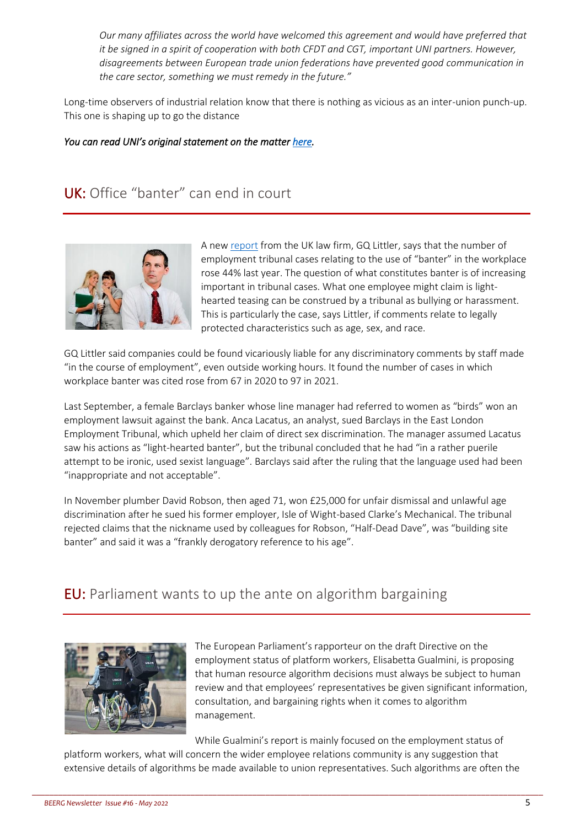*Our many affiliates across the world have welcomed this agreement and would have preferred that it be signed in a spirit of cooperation with both CFDT and CGT, important UNI partners. However, disagreements between European trade union federations have prevented good communication in the care sector, something we must remedy in the future."* 

Long-time observers of industrial relation know that there is nothing as vicious as an inter-union punch-up. This one is shaping up to go the distance

#### *You can read UNI's original statement on the matter [here.](https://uniglobalunion.org/news/unis-statement-regarding-french-unions-and-the-orpea-global-agreement/)*

# UK: Office "banter" can end in court



A ne[w report](https://www.gqlittler.com/resources/news-and-views/uk-employment-tribunal-cases-relating-to-banter-up-45-in-a-year.htm) from the UK law firm, GQ Littler, says that the number of employment tribunal cases relating to the use of "banter" in the workplace rose 44% last year. The question of what constitutes banter is of increasing important in tribunal cases. What one employee might claim is lighthearted teasing can be construed by a tribunal as bullying or harassment. This is particularly the case, says Littler, if comments relate to legally protected characteristics such as age, sex, and race.

GQ Littler said companies could be found vicariously liable for any discriminatory comments by staff made "in the course of employment", even outside working hours. It found the number of cases in which workplace banter was cited rose from 67 in 2020 to 97 in 2021.

Last September, a female Barclays banker whose line manager had referred to women as "birds" won an employment lawsuit against the bank. Anca Lacatus, an analyst, sued Barclays in the East London Employment Tribunal, which upheld her claim of direct sex discrimination. The manager assumed Lacatus saw his actions as "light-hearted banter", but the tribunal concluded that he had "in a rather puerile attempt to be ironic, used sexist language". Barclays said after the ruling that the language used had been "inappropriate and not acceptable".

In November plumber David Robson, then aged 71, won £25,000 for unfair dismissal and unlawful age discrimination after he sued his former employer, Isle of Wight-based Clarke's Mechanical. The tribunal rejected claims that the nickname used by colleagues for Robson, "Half-Dead Dave", was "building site banter" and said it was a "frankly derogatory reference to his age".

# EU: Parliament wants to up the ante on algorithm bargaining



The European Parliament's rapporteur on the draft Directive on the employment status of platform workers, Elisabetta Gualmini, is proposing that human resource algorithm decisions must always be subject to human review and that employees' representatives be given significant information, consultation, and bargaining rights when it comes to algorithm management.

While Gualmini's report is mainly focused on the employment status of platform workers, what will concern the wider employee relations community is any suggestion that extensive details of algorithms be made available to union representatives. Such algorithms are often the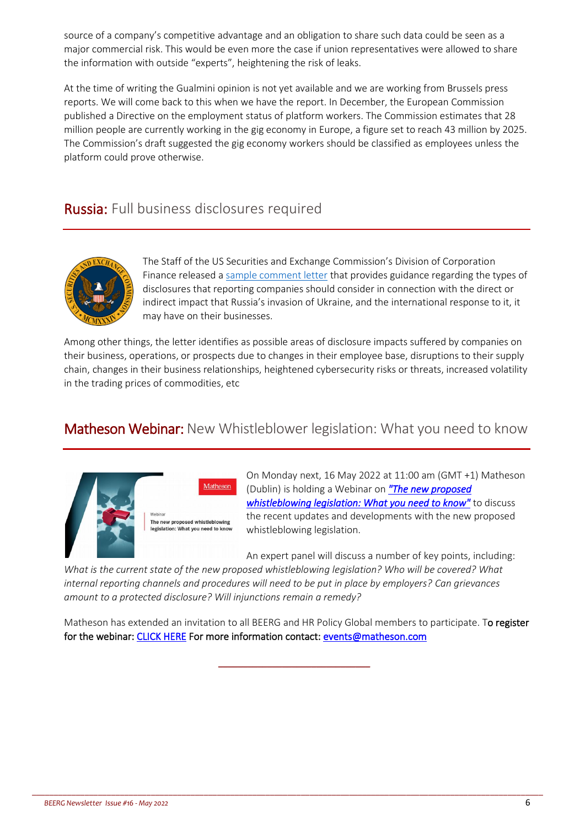source of a company's competitive advantage and an obligation to share such data could be seen as a major commercial risk. This would be even more the case if union representatives were allowed to share the information with outside "experts", heightening the risk of leaks.

At the time of writing the Gualmini opinion is not yet available and we are working from Brussels press reports. We will come back to this when we have the report. In December, the European Commission published a Directive on the employment status of platform workers. The Commission estimates that 28 million people are currently working in the gig economy in Europe, a figure set to reach 43 million by 2025. The Commission's draft suggested the gig economy workers should be classified as employees unless the platform could prove otherwise.

# Russia: Full business disclosures required



The Staff of the US Securities and Exchange Commission's Division of Corporation Finance released a [sample comment letter](https://www.sec.gov/corpfin/sample-letter-companies-pertaining-to-ukraine) that provides guidance regarding the types of disclosures that reporting companies should consider in connection with the direct or indirect impact that Russia's invasion of Ukraine, and the international response to it, it may have on their businesses.

Among other things, the letter identifies as possible areas of disclosure impacts suffered by companies on their business, operations, or prospects due to changes in their employee base, disruptions to their supply chain, changes in their business relationships, heightened cybersecurity risks or threats, increased volatility in the trading prices of commodities, etc

# Matheson Webinar: New Whistleblower legislation: What you need to know





The new proposed whistleblowing n: What you need to k

On Monday next, 16 May 2022 at 11:00 am (GMT +1) Matheson (Dublin) is holding a Webinar on *["The new proposed](https://law.matheson.com/105/2908/landing-pages/rsvp-blank.asp?sid=be064aa0-0166-4dcb-9a04-4beaa2872d7d)  [whistleblowing legislation: What you need to know"](https://law.matheson.com/105/2908/landing-pages/rsvp-blank.asp?sid=be064aa0-0166-4dcb-9a04-4beaa2872d7d)* to discuss the recent updates and developments with the new proposed whistleblowing legislation.

An expert panel will discuss a number of key points, including:

*What is the current state of the new proposed whistleblowing legislation? Who will be covered? What internal reporting channels and procedures will need to be put in place by employers? Can grievances amount to a protected disclosure? Will injunctions remain a remedy?*

Matheson has extended an invitation to all BEERG and HR Policy Global members to participate. To register for the webinar: [CLICK HERE](https://law.matheson.com/105/2908/landing-pages/rsvp-blank.asp?sid=be064aa0-0166-4dcb-9a04-4beaa2872d7d) For more information contact: [events@matheson.com](mailto:events@matheson.com) 

\_\_\_\_\_\_\_\_\_\_\_\_\_\_\_\_\_\_\_\_\_\_\_\_\_\_\_\_\_\_\_